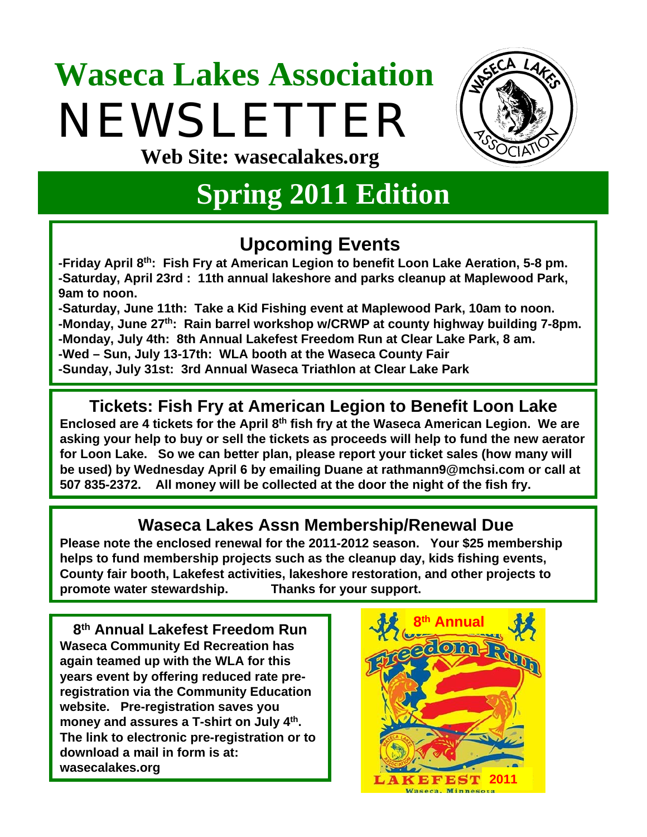# **Waseca Lakes Association** NEWSLETTER



**Web Site: wasecalakes.org**

### **Spring 2011 Edition**

#### **Upcoming Events**

**-Friday April 8th: Fish Fry at American Legion to benefit Loon Lake Aeration, 5-8 pm. -Saturday, April 23rd : 11th annual lakeshore and parks cleanup at Maplewood Park, 9am to noon.**

**-Saturday, June 11th: Take a Kid Fishing event at Maplewood Park, 10am to noon. -Monday, June 27th: Rain barrel workshop w/CRWP at county highway building 7-8pm. -Monday, July 4th: 8th Annual Lakefest Freedom Run at Clear Lake Park, 8 am. -Wed – Sun, July 13-17th: WLA booth at the Waseca County Fair -Sunday, July 31st: 3rd Annual Waseca Triathlon at Clear Lake Park**

#### **Tickets: Fish Fry at American Legion to Benefit Loon Lake**

**Enclosed are 4 tickets for the April 8th fish fry at the Waseca American Legion. We are asking your help to buy or sell the tickets as proceeds will help to fund the new aerator for Loon Lake. So we can better plan, please report your ticket sales (how many will be used) by Wednesday April 6 by emailing Duane at rathmann9@mchsi.com or call at 507 835-2372. All money will be collected at the door the night of the fish fry.**

#### **Waseca Lakes Assn Membership/Renewal Due**

**Please note the enclosed renewal for the 2011-2012 season. Your \$25 membership helps to fund membership projects such as the cleanup day, kids fishing events, County fair booth, Lakefest activities, lakeshore restoration, and other projects to promote water stewardship. Thanks for your support.**

**8th Annual Lakefest Freedom Run Waseca Community Ed Recreation has again teamed up with the WLA for this years event by offering reduced rate preregistration via the Community Education website. Pre-registration saves you money and assures a T-shirt on July 4th. The link to electronic pre-registration or to download a mail in form is at: wasecalakes.org**